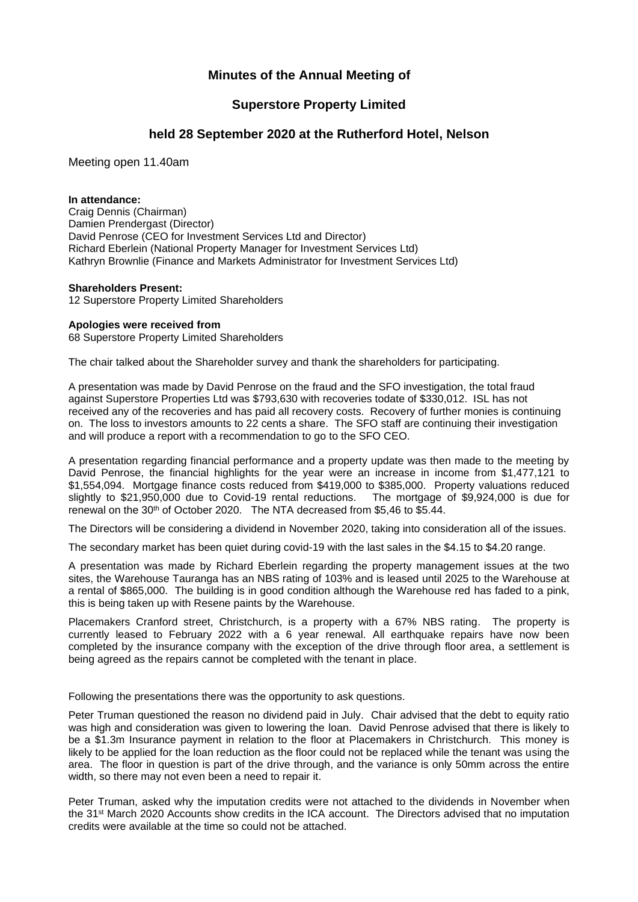## **Minutes of the Annual Meeting of**

## **Superstore Property Limited**

### **held 28 September 2020 at the Rutherford Hotel, Nelson**

Meeting open 11.40am

### **In attendance:**

Craig Dennis (Chairman) Damien Prendergast (Director) David Penrose (CEO for Investment Services Ltd and Director) Richard Eberlein (National Property Manager for Investment Services Ltd) Kathryn Brownlie (Finance and Markets Administrator for Investment Services Ltd)

### **Shareholders Present:**

12 Superstore Property Limited Shareholders

### **Apologies were received from**

68 Superstore Property Limited Shareholders

The chair talked about the Shareholder survey and thank the shareholders for participating.

A presentation was made by David Penrose on the fraud and the SFO investigation, the total fraud against Superstore Properties Ltd was \$793,630 with recoveries todate of \$330,012. ISL has not received any of the recoveries and has paid all recovery costs. Recovery of further monies is continuing on. The loss to investors amounts to 22 cents a share. The SFO staff are continuing their investigation and will produce a report with a recommendation to go to the SFO CEO.

A presentation regarding financial performance and a property update was then made to the meeting by David Penrose, the financial highlights for the year were an increase in income from \$1,477,121 to \$1,554,094. Mortgage finance costs reduced from \$419,000 to \$385,000. Property valuations reduced slightly to \$21,950,000 due to Covid-19 rental reductions. The mortgage of \$9,924,000 is due for renewal on the 30<sup>th</sup> of October 2020. The NTA decreased from \$5,46 to \$5.44.

The Directors will be considering a dividend in November 2020, taking into consideration all of the issues.

The secondary market has been quiet during covid-19 with the last sales in the \$4.15 to \$4.20 range.

A presentation was made by Richard Eberlein regarding the property management issues at the two sites, the Warehouse Tauranga has an NBS rating of 103% and is leased until 2025 to the Warehouse at a rental of \$865,000. The building is in good condition although the Warehouse red has faded to a pink, this is being taken up with Resene paints by the Warehouse.

Placemakers Cranford street, Christchurch, is a property with a 67% NBS rating. The property is currently leased to February 2022 with a 6 year renewal. All earthquake repairs have now been completed by the insurance company with the exception of the drive through floor area, a settlement is being agreed as the repairs cannot be completed with the tenant in place.

Following the presentations there was the opportunity to ask questions.

Peter Truman questioned the reason no dividend paid in July. Chair advised that the debt to equity ratio was high and consideration was given to lowering the loan. David Penrose advised that there is likely to be a \$1.3m Insurance payment in relation to the floor at Placemakers in Christchurch. This money is likely to be applied for the loan reduction as the floor could not be replaced while the tenant was using the area. The floor in question is part of the drive through, and the variance is only 50mm across the entire width, so there may not even been a need to repair it.

Peter Truman, asked why the imputation credits were not attached to the dividends in November when the 31st March 2020 Accounts show credits in the ICA account. The Directors advised that no imputation credits were available at the time so could not be attached.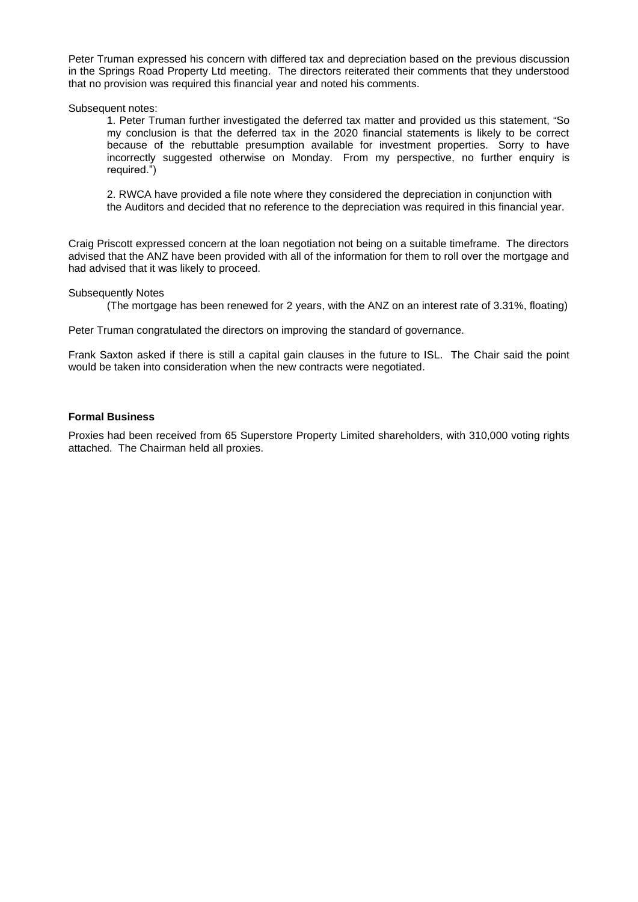Peter Truman expressed his concern with differed tax and depreciation based on the previous discussion in the Springs Road Property Ltd meeting. The directors reiterated their comments that they understood that no provision was required this financial year and noted his comments.

Subsequent notes:

1. Peter Truman further investigated the deferred tax matter and provided us this statement, "So my conclusion is that the deferred tax in the 2020 financial statements is likely to be correct because of the rebuttable presumption available for investment properties. Sorry to have incorrectly suggested otherwise on Monday. From my perspective, no further enquiry is required.")

2. RWCA have provided a file note where they considered the depreciation in conjunction with the Auditors and decided that no reference to the depreciation was required in this financial year.

Craig Priscott expressed concern at the loan negotiation not being on a suitable timeframe. The directors advised that the ANZ have been provided with all of the information for them to roll over the mortgage and had advised that it was likely to proceed.

Subsequently Notes

(The mortgage has been renewed for 2 years, with the ANZ on an interest rate of 3.31%, floating)

Peter Truman congratulated the directors on improving the standard of governance.

Frank Saxton asked if there is still a capital gain clauses in the future to ISL. The Chair said the point would be taken into consideration when the new contracts were negotiated.

### **Formal Business**

Proxies had been received from 65 Superstore Property Limited shareholders, with 310,000 voting rights attached. The Chairman held all proxies.